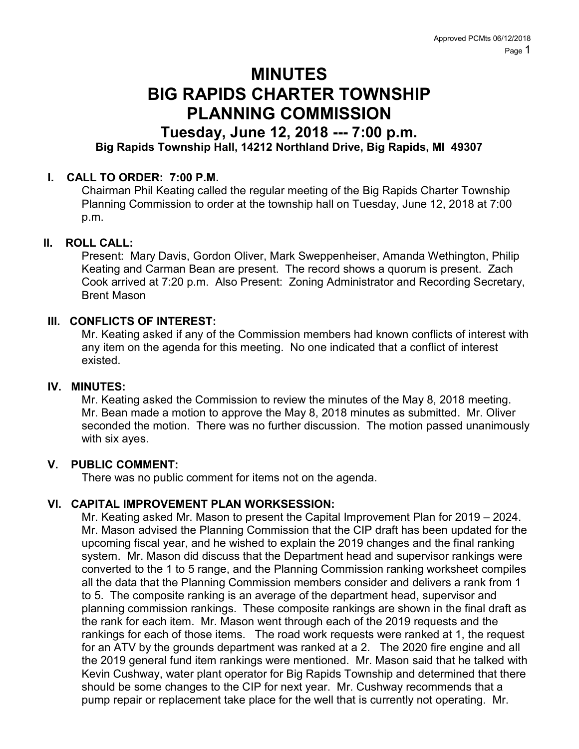# MINUTES BIG RAPIDS CHARTER TOWNSHIP PLANNING COMMISSION

## Tuesday, June 12, 2018 --- 7:00 p.m.

### Big Rapids Township Hall, 14212 Northland Drive, Big Rapids, MI 49307

#### I. CALL TO ORDER: 7:00 P.M.

Chairman Phil Keating called the regular meeting of the Big Rapids Charter Township Planning Commission to order at the township hall on Tuesday, June 12, 2018 at 7:00 p.m.

#### II. ROLL CALL:

Present: Mary Davis, Gordon Oliver, Mark Sweppenheiser, Amanda Wethington, Philip Keating and Carman Bean are present. The record shows a quorum is present. Zach Cook arrived at 7:20 p.m. Also Present: Zoning Administrator and Recording Secretary, Brent Mason

#### III. CONFLICTS OF INTEREST:

Mr. Keating asked if any of the Commission members had known conflicts of interest with any item on the agenda for this meeting. No one indicated that a conflict of interest existed.

#### IV. MINUTES:

Mr. Keating asked the Commission to review the minutes of the May 8, 2018 meeting. Mr. Bean made a motion to approve the May 8, 2018 minutes as submitted. Mr. Oliver seconded the motion. There was no further discussion. The motion passed unanimously with six ayes.

#### V. PUBLIC COMMENT:

There was no public comment for items not on the agenda.

#### VI. CAPITAL IMPROVEMENT PLAN WORKSESSION:

Mr. Keating asked Mr. Mason to present the Capital Improvement Plan for 2019 – 2024. Mr. Mason advised the Planning Commission that the CIP draft has been updated for the upcoming fiscal year, and he wished to explain the 2019 changes and the final ranking system. Mr. Mason did discuss that the Department head and supervisor rankings were converted to the 1 to 5 range, and the Planning Commission ranking worksheet compiles all the data that the Planning Commission members consider and delivers a rank from 1 to 5. The composite ranking is an average of the department head, supervisor and planning commission rankings. These composite rankings are shown in the final draft as the rank for each item. Mr. Mason went through each of the 2019 requests and the rankings for each of those items. The road work requests were ranked at 1, the request for an ATV by the grounds department was ranked at a 2. The 2020 fire engine and all the 2019 general fund item rankings were mentioned. Mr. Mason said that he talked with Kevin Cushway, water plant operator for Big Rapids Township and determined that there should be some changes to the CIP for next year. Mr. Cushway recommends that a pump repair or replacement take place for the well that is currently not operating. Mr.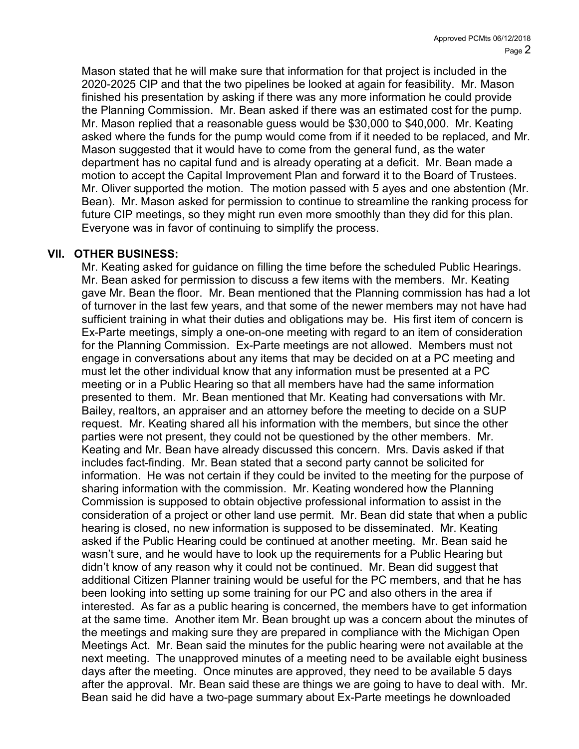Mason stated that he will make sure that information for that project is included in the 2020-2025 CIP and that the two pipelines be looked at again for feasibility. Mr. Mason finished his presentation by asking if there was any more information he could provide the Planning Commission. Mr. Bean asked if there was an estimated cost for the pump. Mr. Mason replied that a reasonable guess would be \$30,000 to \$40,000. Mr. Keating asked where the funds for the pump would come from if it needed to be replaced, and Mr. Mason suggested that it would have to come from the general fund, as the water department has no capital fund and is already operating at a deficit. Mr. Bean made a motion to accept the Capital Improvement Plan and forward it to the Board of Trustees. Mr. Oliver supported the motion. The motion passed with 5 ayes and one abstention (Mr. Bean). Mr. Mason asked for permission to continue to streamline the ranking process for future CIP meetings, so they might run even more smoothly than they did for this plan. Everyone was in favor of continuing to simplify the process.

#### VII. OTHER BUSINESS:

Mr. Keating asked for guidance on filling the time before the scheduled Public Hearings. Mr. Bean asked for permission to discuss a few items with the members. Mr. Keating gave Mr. Bean the floor. Mr. Bean mentioned that the Planning commission has had a lot of turnover in the last few years, and that some of the newer members may not have had sufficient training in what their duties and obligations may be. His first item of concern is Ex-Parte meetings, simply a one-on-one meeting with regard to an item of consideration for the Planning Commission. Ex-Parte meetings are not allowed. Members must not engage in conversations about any items that may be decided on at a PC meeting and must let the other individual know that any information must be presented at a PC meeting or in a Public Hearing so that all members have had the same information presented to them. Mr. Bean mentioned that Mr. Keating had conversations with Mr. Bailey, realtors, an appraiser and an attorney before the meeting to decide on a SUP request. Mr. Keating shared all his information with the members, but since the other parties were not present, they could not be questioned by the other members. Mr. Keating and Mr. Bean have already discussed this concern. Mrs. Davis asked if that includes fact-finding. Mr. Bean stated that a second party cannot be solicited for information. He was not certain if they could be invited to the meeting for the purpose of sharing information with the commission. Mr. Keating wondered how the Planning Commission is supposed to obtain objective professional information to assist in the consideration of a project or other land use permit. Mr. Bean did state that when a public hearing is closed, no new information is supposed to be disseminated. Mr. Keating asked if the Public Hearing could be continued at another meeting. Mr. Bean said he wasn't sure, and he would have to look up the requirements for a Public Hearing but didn't know of any reason why it could not be continued. Mr. Bean did suggest that additional Citizen Planner training would be useful for the PC members, and that he has been looking into setting up some training for our PC and also others in the area if interested. As far as a public hearing is concerned, the members have to get information at the same time. Another item Mr. Bean brought up was a concern about the minutes of the meetings and making sure they are prepared in compliance with the Michigan Open Meetings Act. Mr. Bean said the minutes for the public hearing were not available at the next meeting. The unapproved minutes of a meeting need to be available eight business days after the meeting. Once minutes are approved, they need to be available 5 days after the approval. Mr. Bean said these are things we are going to have to deal with. Mr. Bean said he did have a two-page summary about Ex-Parte meetings he downloaded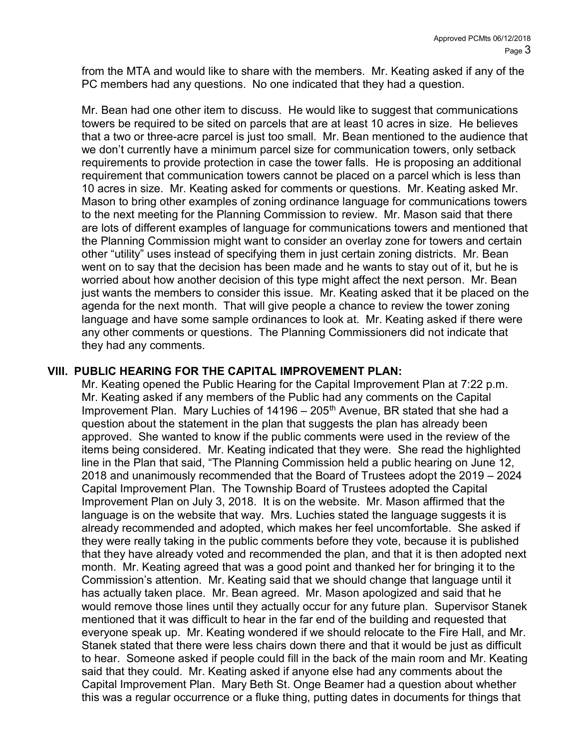from the MTA and would like to share with the members. Mr. Keating asked if any of the PC members had any questions. No one indicated that they had a question.

Mr. Bean had one other item to discuss. He would like to suggest that communications towers be required to be sited on parcels that are at least 10 acres in size. He believes that a two or three-acre parcel is just too small. Mr. Bean mentioned to the audience that we don't currently have a minimum parcel size for communication towers, only setback requirements to provide protection in case the tower falls. He is proposing an additional requirement that communication towers cannot be placed on a parcel which is less than 10 acres in size. Mr. Keating asked for comments or questions. Mr. Keating asked Mr. Mason to bring other examples of zoning ordinance language for communications towers to the next meeting for the Planning Commission to review. Mr. Mason said that there are lots of different examples of language for communications towers and mentioned that the Planning Commission might want to consider an overlay zone for towers and certain other "utility" uses instead of specifying them in just certain zoning districts. Mr. Bean went on to say that the decision has been made and he wants to stay out of it, but he is worried about how another decision of this type might affect the next person. Mr. Bean just wants the members to consider this issue. Mr. Keating asked that it be placed on the agenda for the next month. That will give people a chance to review the tower zoning language and have some sample ordinances to look at. Mr. Keating asked if there were any other comments or questions. The Planning Commissioners did not indicate that they had any comments.

#### VIII. PUBLIC HEARING FOR THE CAPITAL IMPROVEMENT PLAN:

Mr. Keating opened the Public Hearing for the Capital Improvement Plan at 7:22 p.m. Mr. Keating asked if any members of the Public had any comments on the Capital Improvement Plan. Mary Luchies of  $14196 - 205<sup>th</sup>$  Avenue, BR stated that she had a question about the statement in the plan that suggests the plan has already been approved. She wanted to know if the public comments were used in the review of the items being considered. Mr. Keating indicated that they were. She read the highlighted line in the Plan that said, "The Planning Commission held a public hearing on June 12, 2018 and unanimously recommended that the Board of Trustees adopt the 2019 – 2024 Capital Improvement Plan. The Township Board of Trustees adopted the Capital Improvement Plan on July 3, 2018. It is on the website. Mr. Mason affirmed that the language is on the website that way. Mrs. Luchies stated the language suggests it is already recommended and adopted, which makes her feel uncomfortable. She asked if they were really taking in the public comments before they vote, because it is published that they have already voted and recommended the plan, and that it is then adopted next month. Mr. Keating agreed that was a good point and thanked her for bringing it to the Commission's attention. Mr. Keating said that we should change that language until it has actually taken place. Mr. Bean agreed. Mr. Mason apologized and said that he would remove those lines until they actually occur for any future plan. Supervisor Stanek mentioned that it was difficult to hear in the far end of the building and requested that everyone speak up. Mr. Keating wondered if we should relocate to the Fire Hall, and Mr. Stanek stated that there were less chairs down there and that it would be just as difficult to hear. Someone asked if people could fill in the back of the main room and Mr. Keating said that they could. Mr. Keating asked if anyone else had any comments about the Capital Improvement Plan. Mary Beth St. Onge Beamer had a question about whether this was a regular occurrence or a fluke thing, putting dates in documents for things that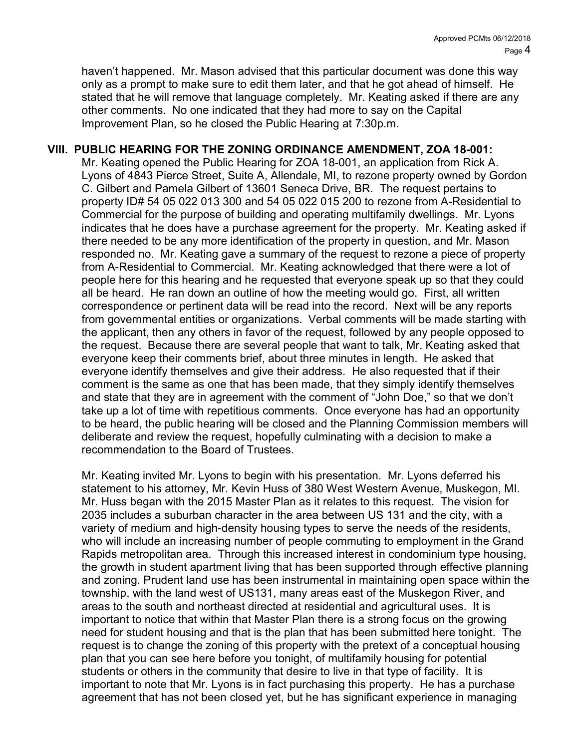haven't happened. Mr. Mason advised that this particular document was done this way only as a prompt to make sure to edit them later, and that he got ahead of himself. He stated that he will remove that language completely. Mr. Keating asked if there are any other comments. No one indicated that they had more to say on the Capital Improvement Plan, so he closed the Public Hearing at 7:30p.m.

#### VIII. PUBLIC HEARING FOR THE ZONING ORDINANCE AMENDMENT, ZOA 18-001:

Mr. Keating opened the Public Hearing for ZOA 18-001, an application from Rick A. Lyons of 4843 Pierce Street, Suite A, Allendale, MI, to rezone property owned by Gordon C. Gilbert and Pamela Gilbert of 13601 Seneca Drive, BR. The request pertains to property ID# 54 05 022 013 300 and 54 05 022 015 200 to rezone from A-Residential to Commercial for the purpose of building and operating multifamily dwellings. Mr. Lyons indicates that he does have a purchase agreement for the property. Mr. Keating asked if there needed to be any more identification of the property in question, and Mr. Mason responded no. Mr. Keating gave a summary of the request to rezone a piece of property from A-Residential to Commercial. Mr. Keating acknowledged that there were a lot of people here for this hearing and he requested that everyone speak up so that they could all be heard. He ran down an outline of how the meeting would go. First, all written correspondence or pertinent data will be read into the record. Next will be any reports from governmental entities or organizations. Verbal comments will be made starting with the applicant, then any others in favor of the request, followed by any people opposed to the request. Because there are several people that want to talk, Mr. Keating asked that everyone keep their comments brief, about three minutes in length. He asked that everyone identify themselves and give their address. He also requested that if their comment is the same as one that has been made, that they simply identify themselves and state that they are in agreement with the comment of "John Doe," so that we don't take up a lot of time with repetitious comments. Once everyone has had an opportunity to be heard, the public hearing will be closed and the Planning Commission members will deliberate and review the request, hopefully culminating with a decision to make a recommendation to the Board of Trustees.

Mr. Keating invited Mr. Lyons to begin with his presentation. Mr. Lyons deferred his statement to his attorney, Mr. Kevin Huss of 380 West Western Avenue, Muskegon, MI. Mr. Huss began with the 2015 Master Plan as it relates to this request. The vision for 2035 includes a suburban character in the area between US 131 and the city, with a variety of medium and high-density housing types to serve the needs of the residents, who will include an increasing number of people commuting to employment in the Grand Rapids metropolitan area. Through this increased interest in condominium type housing, the growth in student apartment living that has been supported through effective planning and zoning. Prudent land use has been instrumental in maintaining open space within the township, with the land west of US131, many areas east of the Muskegon River, and areas to the south and northeast directed at residential and agricultural uses. It is important to notice that within that Master Plan there is a strong focus on the growing need for student housing and that is the plan that has been submitted here tonight. The request is to change the zoning of this property with the pretext of a conceptual housing plan that you can see here before you tonight, of multifamily housing for potential students or others in the community that desire to live in that type of facility. It is important to note that Mr. Lyons is in fact purchasing this property. He has a purchase agreement that has not been closed yet, but he has significant experience in managing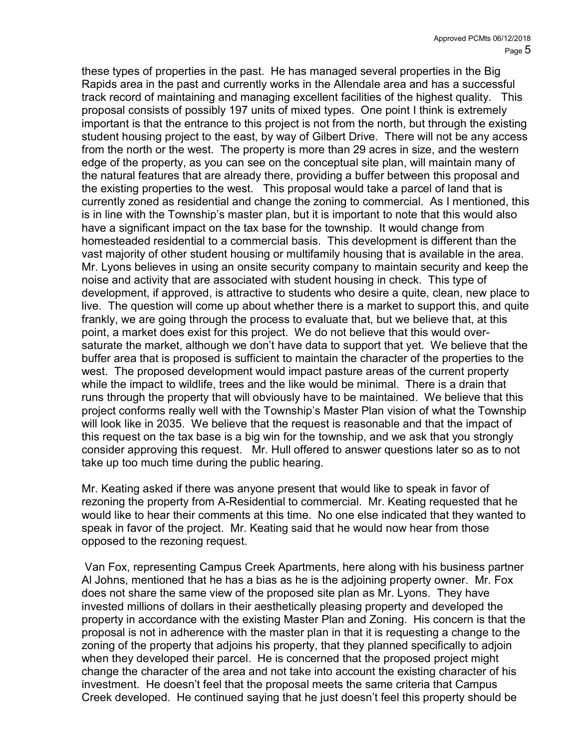these types of properties in the past. He has managed several properties in the Big Rapids area in the past and currently works in the Allendale area and has a successful track record of maintaining and managing excellent facilities of the highest quality. This proposal consists of possibly 197 units of mixed types. One point I think is extremely important is that the entrance to this project is not from the north, but through the existing student housing project to the east, by way of Gilbert Drive. There will not be any access from the north or the west. The property is more than 29 acres in size, and the western edge of the property, as you can see on the conceptual site plan, will maintain many of the natural features that are already there, providing a buffer between this proposal and the existing properties to the west. This proposal would take a parcel of land that is currently zoned as residential and change the zoning to commercial. As I mentioned, this is in line with the Township's master plan, but it is important to note that this would also have a significant impact on the tax base for the township. It would change from homesteaded residential to a commercial basis. This development is different than the vast majority of other student housing or multifamily housing that is available in the area. Mr. Lyons believes in using an onsite security company to maintain security and keep the noise and activity that are associated with student housing in check. This type of development, if approved, is attractive to students who desire a quite, clean, new place to live. The question will come up about whether there is a market to support this, and quite frankly, we are going through the process to evaluate that, but we believe that, at this point, a market does exist for this project. We do not believe that this would oversaturate the market, although we don't have data to support that yet. We believe that the buffer area that is proposed is sufficient to maintain the character of the properties to the west. The proposed development would impact pasture areas of the current property while the impact to wildlife, trees and the like would be minimal. There is a drain that runs through the property that will obviously have to be maintained. We believe that this project conforms really well with the Township's Master Plan vision of what the Township will look like in 2035. We believe that the request is reasonable and that the impact of this request on the tax base is a big win for the township, and we ask that you strongly consider approving this request. Mr. Hull offered to answer questions later so as to not take up too much time during the public hearing.

Mr. Keating asked if there was anyone present that would like to speak in favor of rezoning the property from A-Residential to commercial. Mr. Keating requested that he would like to hear their comments at this time. No one else indicated that they wanted to speak in favor of the project. Mr. Keating said that he would now hear from those opposed to the rezoning request.

 Van Fox, representing Campus Creek Apartments, here along with his business partner Al Johns, mentioned that he has a bias as he is the adjoining property owner. Mr. Fox does not share the same view of the proposed site plan as Mr. Lyons. They have invested millions of dollars in their aesthetically pleasing property and developed the property in accordance with the existing Master Plan and Zoning. His concern is that the proposal is not in adherence with the master plan in that it is requesting a change to the zoning of the property that adjoins his property, that they planned specifically to adjoin when they developed their parcel. He is concerned that the proposed project might change the character of the area and not take into account the existing character of his investment. He doesn't feel that the proposal meets the same criteria that Campus Creek developed. He continued saying that he just doesn't feel this property should be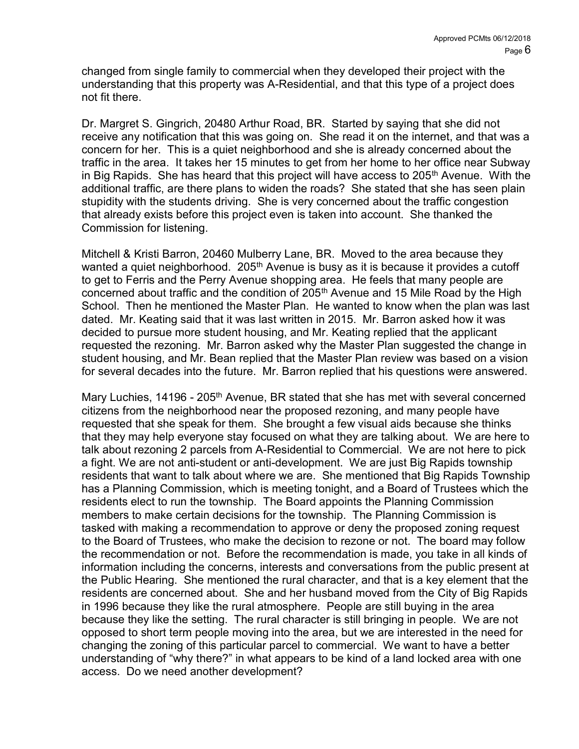changed from single family to commercial when they developed their project with the understanding that this property was A-Residential, and that this type of a project does not fit there.

Dr. Margret S. Gingrich, 20480 Arthur Road, BR. Started by saying that she did not receive any notification that this was going on. She read it on the internet, and that was a concern for her. This is a quiet neighborhood and she is already concerned about the traffic in the area. It takes her 15 minutes to get from her home to her office near Subway in Big Rapids. She has heard that this project will have access to  $205<sup>th</sup>$  Avenue. With the additional traffic, are there plans to widen the roads? She stated that she has seen plain stupidity with the students driving. She is very concerned about the traffic congestion that already exists before this project even is taken into account. She thanked the Commission for listening.

Mitchell & Kristi Barron, 20460 Mulberry Lane, BR. Moved to the area because they wanted a quiet neighborhood. 205<sup>th</sup> Avenue is busy as it is because it provides a cutoff to get to Ferris and the Perry Avenue shopping area. He feels that many people are concerned about traffic and the condition of 205<sup>th</sup> Avenue and 15 Mile Road by the High School. Then he mentioned the Master Plan. He wanted to know when the plan was last dated. Mr. Keating said that it was last written in 2015. Mr. Barron asked how it was decided to pursue more student housing, and Mr. Keating replied that the applicant requested the rezoning. Mr. Barron asked why the Master Plan suggested the change in student housing, and Mr. Bean replied that the Master Plan review was based on a vision for several decades into the future. Mr. Barron replied that his questions were answered.

Mary Luchies, 14196 - 205<sup>th</sup> Avenue, BR stated that she has met with several concerned citizens from the neighborhood near the proposed rezoning, and many people have requested that she speak for them. She brought a few visual aids because she thinks that they may help everyone stay focused on what they are talking about. We are here to talk about rezoning 2 parcels from A-Residential to Commercial. We are not here to pick a fight. We are not anti-student or anti-development. We are just Big Rapids township residents that want to talk about where we are. She mentioned that Big Rapids Township has a Planning Commission, which is meeting tonight, and a Board of Trustees which the residents elect to run the township. The Board appoints the Planning Commission members to make certain decisions for the township. The Planning Commission is tasked with making a recommendation to approve or deny the proposed zoning request to the Board of Trustees, who make the decision to rezone or not. The board may follow the recommendation or not. Before the recommendation is made, you take in all kinds of information including the concerns, interests and conversations from the public present at the Public Hearing. She mentioned the rural character, and that is a key element that the residents are concerned about. She and her husband moved from the City of Big Rapids in 1996 because they like the rural atmosphere. People are still buying in the area because they like the setting. The rural character is still bringing in people. We are not opposed to short term people moving into the area, but we are interested in the need for changing the zoning of this particular parcel to commercial. We want to have a better understanding of "why there?" in what appears to be kind of a land locked area with one access. Do we need another development?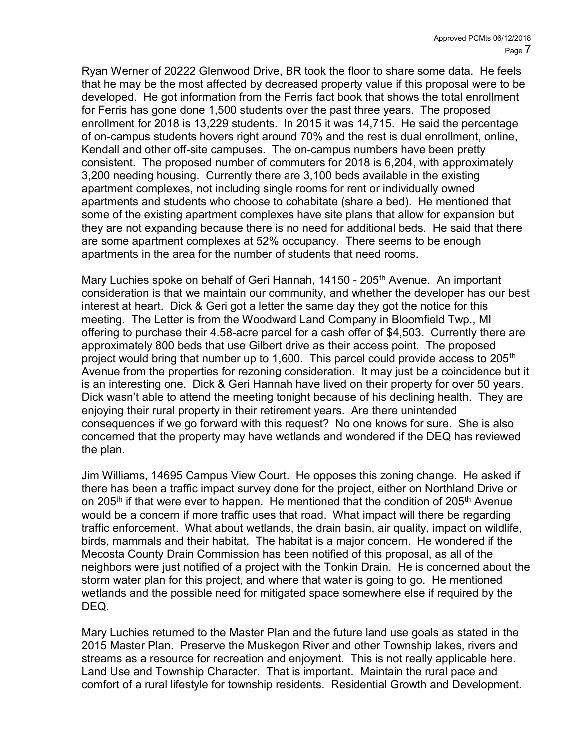Ryan Werner of 20222 Glenwood Drive, BR took the floor to share some data. He feels that he may be the most affected by decreased property value if this proposal were to be developed. He got information from the Ferris fact book that shows the total enrollment for Ferris has gone done 1,500 students over the past three years. The proposed enrollment for 2018 is 13,229 students. In 2015 it was 14,715. He said the percentage of on-campus students hovers right around 70% and the rest is dual enrollment, online, Kendall and other off-site campuses. The on-campus numbers have been pretty consistent. The proposed number of commuters for 2018 is 6,204, with approximately 3,200 needing housing. Currently there are 3,100 beds available in the existing apartment complexes, not including single rooms for rent or individually owned apartments and students who choose to cohabitate (share a bed). He mentioned that some of the existing apartment complexes have site plans that allow for expansion but they are not expanding because there is no need for additional beds. He said that there are some apartment complexes at 52% occupancy. There seems to be enough apartments in the area for the number of students that need rooms.

Mary Luchies spoke on behalf of Geri Hannah, 14150 - 205<sup>th</sup> Avenue. An important consideration is that we maintain our community, and whether the developer has our best interest at heart. Dick & Geri got a letter the same day they got the notice for this meeting. The Letter is from the Woodward Land Company in Bloomfield Twp., MI offering to purchase their 4.58-acre parcel for a cash offer of \$4,503. Currently there are approximately 800 beds that use Gilbert drive as their access point. The proposed project would bring that number up to 1,600. This parcel could provide access to 205<sup>th</sup> Avenue from the properties for rezoning consideration. It may just be a coincidence but it is an interesting one. Dick & Geri Hannah have lived on their property for over 50 years. Dick wasn't able to attend the meeting tonight because of his declining health. They are enjoying their rural property in their retirement years. Are there unintended consequences if we go forward with this request? No one knows for sure. She is also concerned that the property may have wetlands and wondered if the DEQ has reviewed the plan.

Jim Williams, 14695 Campus View Court. He opposes this zoning change. He asked if there has been a traffic impact survey done for the project, either on Northland Drive or on 205<sup>th</sup> if that were ever to happen. He mentioned that the condition of 205<sup>th</sup> Avenue would be a concern if more traffic uses that road. What impact will there be regarding traffic enforcement. What about wetlands, the drain basin, air quality, impact on wildlife, birds, mammals and their habitat. The habitat is a major concern. He wondered if the Mecosta County Drain Commission has been notified of this proposal, as all of the neighbors were just notified of a project with the Tonkin Drain. He is concerned about the storm water plan for this project, and where that water is going to go. He mentioned wetlands and the possible need for mitigated space somewhere else if required by the DEQ.

Mary Luchies returned to the Master Plan and the future land use goals as stated in the 2015 Master Plan. Preserve the Muskegon River and other Township lakes, rivers and streams as a resource for recreation and enjoyment. This is not really applicable here. Land Use and Township Character. That is important. Maintain the rural pace and comfort of a rural lifestyle for township residents. Residential Growth and Development.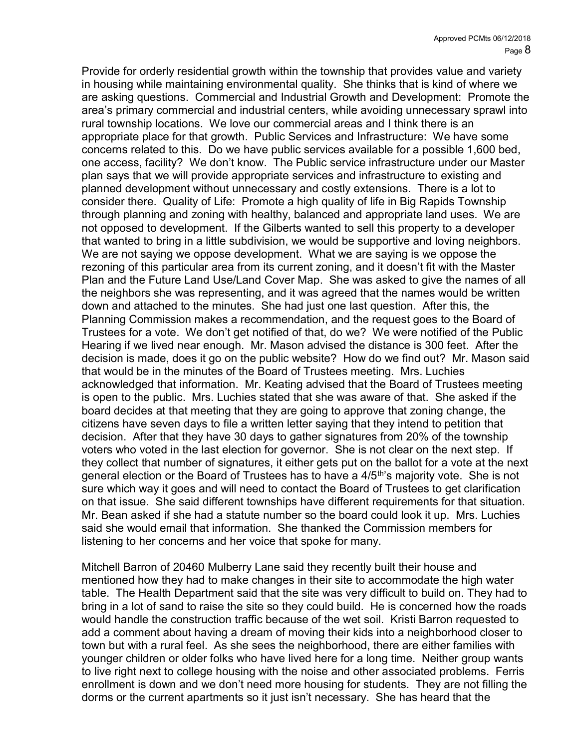Provide for orderly residential growth within the township that provides value and variety in housing while maintaining environmental quality. She thinks that is kind of where we are asking questions. Commercial and Industrial Growth and Development: Promote the area's primary commercial and industrial centers, while avoiding unnecessary sprawl into rural township locations. We love our commercial areas and I think there is an appropriate place for that growth. Public Services and Infrastructure: We have some concerns related to this. Do we have public services available for a possible 1,600 bed, one access, facility? We don't know. The Public service infrastructure under our Master plan says that we will provide appropriate services and infrastructure to existing and planned development without unnecessary and costly extensions. There is a lot to consider there. Quality of Life: Promote a high quality of life in Big Rapids Township through planning and zoning with healthy, balanced and appropriate land uses. We are not opposed to development. If the Gilberts wanted to sell this property to a developer that wanted to bring in a little subdivision, we would be supportive and loving neighbors. We are not saying we oppose development. What we are saying is we oppose the rezoning of this particular area from its current zoning, and it doesn't fit with the Master Plan and the Future Land Use/Land Cover Map. She was asked to give the names of all the neighbors she was representing, and it was agreed that the names would be written down and attached to the minutes. She had just one last question. After this, the Planning Commission makes a recommendation, and the request goes to the Board of Trustees for a vote. We don't get notified of that, do we? We were notified of the Public Hearing if we lived near enough. Mr. Mason advised the distance is 300 feet. After the decision is made, does it go on the public website? How do we find out? Mr. Mason said that would be in the minutes of the Board of Trustees meeting. Mrs. Luchies acknowledged that information. Mr. Keating advised that the Board of Trustees meeting is open to the public. Mrs. Luchies stated that she was aware of that. She asked if the board decides at that meeting that they are going to approve that zoning change, the citizens have seven days to file a written letter saying that they intend to petition that decision. After that they have 30 days to gather signatures from 20% of the township voters who voted in the last election for governor. She is not clear on the next step. If they collect that number of signatures, it either gets put on the ballot for a vote at the next general election or the Board of Trustees has to have a 4/5<sup>th</sup>'s majority vote. She is not sure which way it goes and will need to contact the Board of Trustees to get clarification on that issue. She said different townships have different requirements for that situation. Mr. Bean asked if she had a statute number so the board could look it up. Mrs. Luchies said she would email that information. She thanked the Commission members for listening to her concerns and her voice that spoke for many.

Mitchell Barron of 20460 Mulberry Lane said they recently built their house and mentioned how they had to make changes in their site to accommodate the high water table. The Health Department said that the site was very difficult to build on. They had to bring in a lot of sand to raise the site so they could build. He is concerned how the roads would handle the construction traffic because of the wet soil. Kristi Barron requested to add a comment about having a dream of moving their kids into a neighborhood closer to town but with a rural feel. As she sees the neighborhood, there are either families with younger children or older folks who have lived here for a long time. Neither group wants to live right next to college housing with the noise and other associated problems. Ferris enrollment is down and we don't need more housing for students. They are not filling the dorms or the current apartments so it just isn't necessary. She has heard that the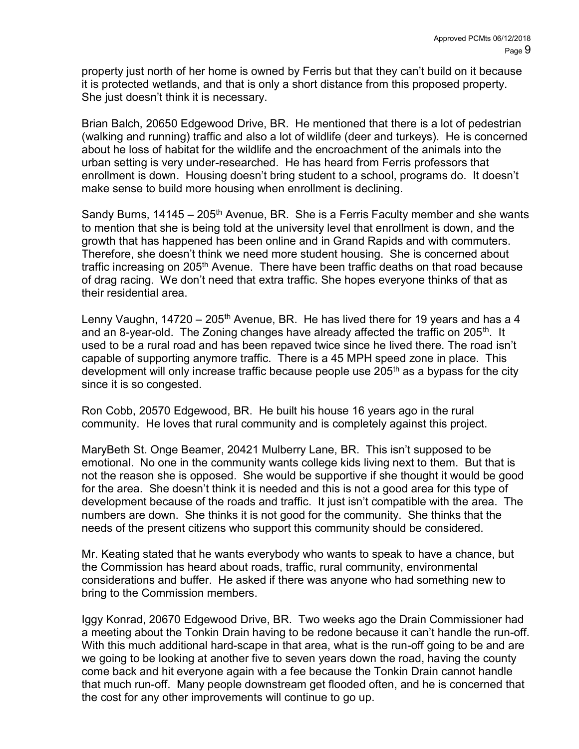property just north of her home is owned by Ferris but that they can't build on it because it is protected wetlands, and that is only a short distance from this proposed property. She just doesn't think it is necessary.

Brian Balch, 20650 Edgewood Drive, BR. He mentioned that there is a lot of pedestrian (walking and running) traffic and also a lot of wildlife (deer and turkeys). He is concerned about he loss of habitat for the wildlife and the encroachment of the animals into the urban setting is very under-researched. He has heard from Ferris professors that enrollment is down. Housing doesn't bring student to a school, programs do. It doesn't make sense to build more housing when enrollment is declining.

Sandy Burns,  $14145 - 205<sup>th</sup>$  Avenue, BR. She is a Ferris Faculty member and she wants to mention that she is being told at the university level that enrollment is down, and the growth that has happened has been online and in Grand Rapids and with commuters. Therefore, she doesn't think we need more student housing. She is concerned about traffic increasing on 205<sup>th</sup> Avenue. There have been traffic deaths on that road because of drag racing. We don't need that extra traffic. She hopes everyone thinks of that as their residential area.

Lenny Vaughn,  $14720 - 205<sup>th</sup>$  Avenue, BR. He has lived there for 19 years and has a 4 and an 8-year-old. The Zoning changes have already affected the traffic on 205<sup>th</sup>. It used to be a rural road and has been repaved twice since he lived there. The road isn't capable of supporting anymore traffic. There is a 45 MPH speed zone in place. This development will only increase traffic because people use 205<sup>th</sup> as a bypass for the city since it is so congested.

Ron Cobb, 20570 Edgewood, BR. He built his house 16 years ago in the rural community. He loves that rural community and is completely against this project.

MaryBeth St. Onge Beamer, 20421 Mulberry Lane, BR. This isn't supposed to be emotional. No one in the community wants college kids living next to them. But that is not the reason she is opposed. She would be supportive if she thought it would be good for the area. She doesn't think it is needed and this is not a good area for this type of development because of the roads and traffic. It just isn't compatible with the area. The numbers are down. She thinks it is not good for the community. She thinks that the needs of the present citizens who support this community should be considered.

Mr. Keating stated that he wants everybody who wants to speak to have a chance, but the Commission has heard about roads, traffic, rural community, environmental considerations and buffer. He asked if there was anyone who had something new to bring to the Commission members.

Iggy Konrad, 20670 Edgewood Drive, BR. Two weeks ago the Drain Commissioner had a meeting about the Tonkin Drain having to be redone because it can't handle the run-off. With this much additional hard-scape in that area, what is the run-off going to be and are we going to be looking at another five to seven years down the road, having the county come back and hit everyone again with a fee because the Tonkin Drain cannot handle that much run-off. Many people downstream get flooded often, and he is concerned that the cost for any other improvements will continue to go up.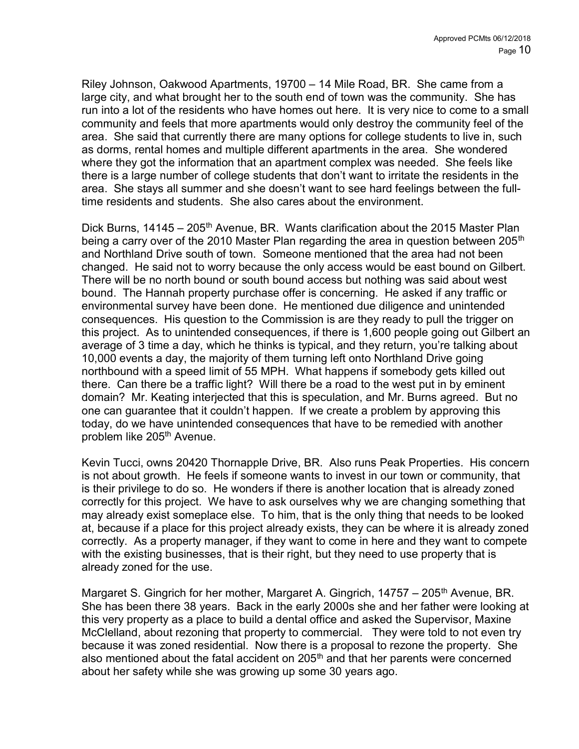Riley Johnson, Oakwood Apartments, 19700 – 14 Mile Road, BR. She came from a large city, and what brought her to the south end of town was the community. She has run into a lot of the residents who have homes out here. It is very nice to come to a small community and feels that more apartments would only destroy the community feel of the area. She said that currently there are many options for college students to live in, such as dorms, rental homes and multiple different apartments in the area. She wondered where they got the information that an apartment complex was needed. She feels like there is a large number of college students that don't want to irritate the residents in the area. She stays all summer and she doesn't want to see hard feelings between the fulltime residents and students. She also cares about the environment.

Dick Burns,  $14145 - 205$ <sup>th</sup> Avenue, BR. Wants clarification about the 2015 Master Plan being a carry over of the 2010 Master Plan regarding the area in question between 205<sup>th</sup> and Northland Drive south of town. Someone mentioned that the area had not been changed. He said not to worry because the only access would be east bound on Gilbert. There will be no north bound or south bound access but nothing was said about west bound. The Hannah property purchase offer is concerning. He asked if any traffic or environmental survey have been done. He mentioned due diligence and unintended consequences. His question to the Commission is are they ready to pull the trigger on this project. As to unintended consequences, if there is 1,600 people going out Gilbert an average of 3 time a day, which he thinks is typical, and they return, you're talking about 10,000 events a day, the majority of them turning left onto Northland Drive going northbound with a speed limit of 55 MPH. What happens if somebody gets killed out there. Can there be a traffic light? Will there be a road to the west put in by eminent domain? Mr. Keating interjected that this is speculation, and Mr. Burns agreed. But no one can guarantee that it couldn't happen. If we create a problem by approving this today, do we have unintended consequences that have to be remedied with another problem like 205<sup>th</sup> Avenue.

Kevin Tucci, owns 20420 Thornapple Drive, BR. Also runs Peak Properties. His concern is not about growth. He feels if someone wants to invest in our town or community, that is their privilege to do so. He wonders if there is another location that is already zoned correctly for this project. We have to ask ourselves why we are changing something that may already exist someplace else. To him, that is the only thing that needs to be looked at, because if a place for this project already exists, they can be where it is already zoned correctly. As a property manager, if they want to come in here and they want to compete with the existing businesses, that is their right, but they need to use property that is already zoned for the use.

Margaret S. Gingrich for her mother, Margaret A. Gingrich, 14757 – 205<sup>th</sup> Avenue, BR. She has been there 38 years. Back in the early 2000s she and her father were looking at this very property as a place to build a dental office and asked the Supervisor, Maxine McClelland, about rezoning that property to commercial. They were told to not even try because it was zoned residential. Now there is a proposal to rezone the property. She also mentioned about the fatal accident on 205<sup>th</sup> and that her parents were concerned about her safety while she was growing up some 30 years ago.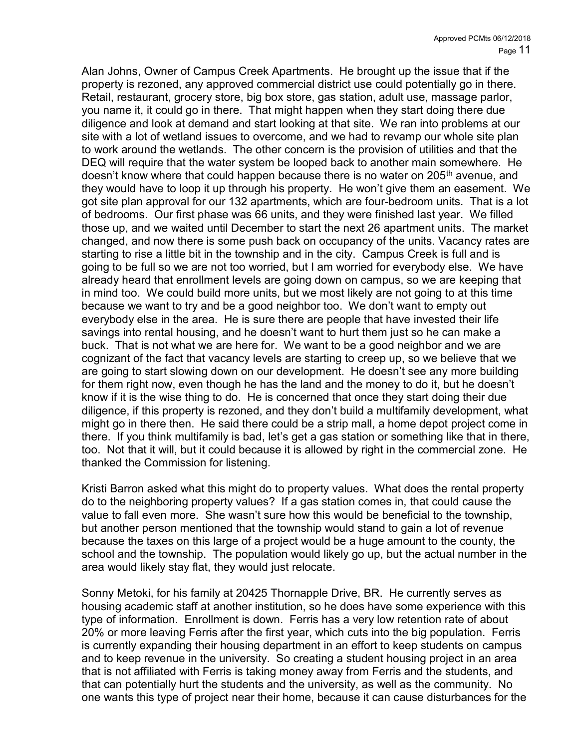Alan Johns, Owner of Campus Creek Apartments. He brought up the issue that if the property is rezoned, any approved commercial district use could potentially go in there. Retail, restaurant, grocery store, big box store, gas station, adult use, massage parlor, you name it, it could go in there. That might happen when they start doing there due diligence and look at demand and start looking at that site. We ran into problems at our site with a lot of wetland issues to overcome, and we had to revamp our whole site plan to work around the wetlands. The other concern is the provision of utilities and that the DEQ will require that the water system be looped back to another main somewhere. He doesn't know where that could happen because there is no water on 205<sup>th</sup> avenue, and they would have to loop it up through his property. He won't give them an easement. We got site plan approval for our 132 apartments, which are four-bedroom units. That is a lot of bedrooms. Our first phase was 66 units, and they were finished last year. We filled those up, and we waited until December to start the next 26 apartment units. The market changed, and now there is some push back on occupancy of the units. Vacancy rates are starting to rise a little bit in the township and in the city. Campus Creek is full and is going to be full so we are not too worried, but I am worried for everybody else. We have already heard that enrollment levels are going down on campus, so we are keeping that in mind too. We could build more units, but we most likely are not going to at this time because we want to try and be a good neighbor too. We don't want to empty out everybody else in the area. He is sure there are people that have invested their life savings into rental housing, and he doesn't want to hurt them just so he can make a buck. That is not what we are here for. We want to be a good neighbor and we are cognizant of the fact that vacancy levels are starting to creep up, so we believe that we are going to start slowing down on our development. He doesn't see any more building for them right now, even though he has the land and the money to do it, but he doesn't know if it is the wise thing to do. He is concerned that once they start doing their due diligence, if this property is rezoned, and they don't build a multifamily development, what might go in there then. He said there could be a strip mall, a home depot project come in there. If you think multifamily is bad, let's get a gas station or something like that in there, too. Not that it will, but it could because it is allowed by right in the commercial zone. He thanked the Commission for listening.

Kristi Barron asked what this might do to property values. What does the rental property do to the neighboring property values? If a gas station comes in, that could cause the value to fall even more. She wasn't sure how this would be beneficial to the township, but another person mentioned that the township would stand to gain a lot of revenue because the taxes on this large of a project would be a huge amount to the county, the school and the township. The population would likely go up, but the actual number in the area would likely stay flat, they would just relocate.

Sonny Metoki, for his family at 20425 Thornapple Drive, BR. He currently serves as housing academic staff at another institution, so he does have some experience with this type of information. Enrollment is down. Ferris has a very low retention rate of about 20% or more leaving Ferris after the first year, which cuts into the big population. Ferris is currently expanding their housing department in an effort to keep students on campus and to keep revenue in the university. So creating a student housing project in an area that is not affiliated with Ferris is taking money away from Ferris and the students, and that can potentially hurt the students and the university, as well as the community. No one wants this type of project near their home, because it can cause disturbances for the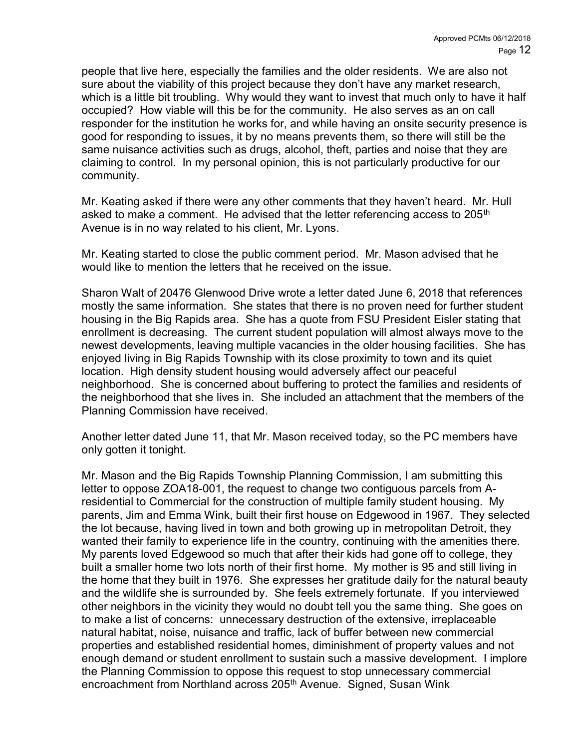people that live here, especially the families and the older residents. We are also not sure about the viability of this project because they don't have any market research, which is a little bit troubling. Why would they want to invest that much only to have it half occupied? How viable will this be for the community. He also serves as an on call responder for the institution he works for, and while having an onsite security presence is good for responding to issues, it by no means prevents them, so there will still be the same nuisance activities such as drugs, alcohol, theft, parties and noise that they are claiming to control. In my personal opinion, this is not particularly productive for our community.

Mr. Keating asked if there were any other comments that they haven't heard. Mr. Hull asked to make a comment. He advised that the letter referencing access to  $205<sup>th</sup>$ Avenue is in no way related to his client, Mr. Lyons.

Mr. Keating started to close the public comment period. Mr. Mason advised that he would like to mention the letters that he received on the issue.

Sharon Walt of 20476 Glenwood Drive wrote a letter dated June 6, 2018 that references mostly the same information. She states that there is no proven need for further student housing in the Big Rapids area. She has a quote from FSU President Eisler stating that enrollment is decreasing. The current student population will almost always move to the newest developments, leaving multiple vacancies in the older housing facilities. She has enjoyed living in Big Rapids Township with its close proximity to town and its quiet location. High density student housing would adversely affect our peaceful neighborhood. She is concerned about buffering to protect the families and residents of the neighborhood that she lives in. She included an attachment that the members of the Planning Commission have received.

Another letter dated June 11, that Mr. Mason received today, so the PC members have only gotten it tonight.

Mr. Mason and the Big Rapids Township Planning Commission, I am submitting this letter to oppose ZOA18-001, the request to change two contiguous parcels from Aresidential to Commercial for the construction of multiple family student housing. My parents, Jim and Emma Wink, built their first house on Edgewood in 1967. They selected the lot because, having lived in town and both growing up in metropolitan Detroit, they wanted their family to experience life in the country, continuing with the amenities there. My parents loved Edgewood so much that after their kids had gone off to college, they built a smaller home two lots north of their first home. My mother is 95 and still living in the home that they built in 1976. She expresses her gratitude daily for the natural beauty and the wildlife she is surrounded by. She feels extremely fortunate. If you interviewed other neighbors in the vicinity they would no doubt tell you the same thing. She goes on to make a list of concerns: unnecessary destruction of the extensive, irreplaceable natural habitat, noise, nuisance and traffic, lack of buffer between new commercial properties and established residential homes, diminishment of property values and not enough demand or student enrollment to sustain such a massive development. I implore the Planning Commission to oppose this request to stop unnecessary commercial encroachment from Northland across 205<sup>th</sup> Avenue. Signed, Susan Wink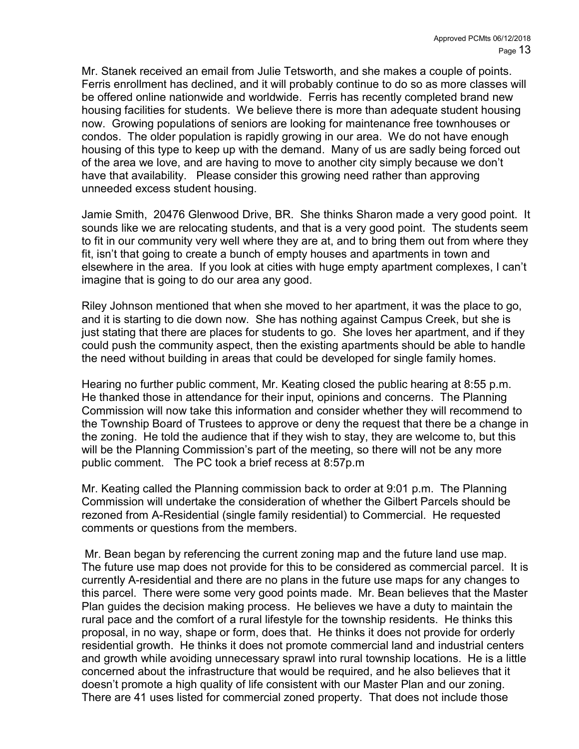Mr. Stanek received an email from Julie Tetsworth, and she makes a couple of points. Ferris enrollment has declined, and it will probably continue to do so as more classes will be offered online nationwide and worldwide. Ferris has recently completed brand new housing facilities for students. We believe there is more than adequate student housing now. Growing populations of seniors are looking for maintenance free townhouses or condos. The older population is rapidly growing in our area. We do not have enough housing of this type to keep up with the demand. Many of us are sadly being forced out of the area we love, and are having to move to another city simply because we don't have that availability. Please consider this growing need rather than approving unneeded excess student housing.

Jamie Smith, 20476 Glenwood Drive, BR. She thinks Sharon made a very good point. It sounds like we are relocating students, and that is a very good point. The students seem to fit in our community very well where they are at, and to bring them out from where they fit, isn't that going to create a bunch of empty houses and apartments in town and elsewhere in the area. If you look at cities with huge empty apartment complexes, I can't imagine that is going to do our area any good.

Riley Johnson mentioned that when she moved to her apartment, it was the place to go, and it is starting to die down now. She has nothing against Campus Creek, but she is just stating that there are places for students to go. She loves her apartment, and if they could push the community aspect, then the existing apartments should be able to handle the need without building in areas that could be developed for single family homes.

Hearing no further public comment, Mr. Keating closed the public hearing at 8:55 p.m. He thanked those in attendance for their input, opinions and concerns. The Planning Commission will now take this information and consider whether they will recommend to the Township Board of Trustees to approve or deny the request that there be a change in the zoning. He told the audience that if they wish to stay, they are welcome to, but this will be the Planning Commission's part of the meeting, so there will not be any more public comment. The PC took a brief recess at 8:57p.m

Mr. Keating called the Planning commission back to order at 9:01 p.m. The Planning Commission will undertake the consideration of whether the Gilbert Parcels should be rezoned from A-Residential (single family residential) to Commercial. He requested comments or questions from the members.

 Mr. Bean began by referencing the current zoning map and the future land use map. The future use map does not provide for this to be considered as commercial parcel. It is currently A-residential and there are no plans in the future use maps for any changes to this parcel. There were some very good points made. Mr. Bean believes that the Master Plan guides the decision making process. He believes we have a duty to maintain the rural pace and the comfort of a rural lifestyle for the township residents. He thinks this proposal, in no way, shape or form, does that. He thinks it does not provide for orderly residential growth. He thinks it does not promote commercial land and industrial centers and growth while avoiding unnecessary sprawl into rural township locations. He is a little concerned about the infrastructure that would be required, and he also believes that it doesn't promote a high quality of life consistent with our Master Plan and our zoning. There are 41 uses listed for commercial zoned property. That does not include those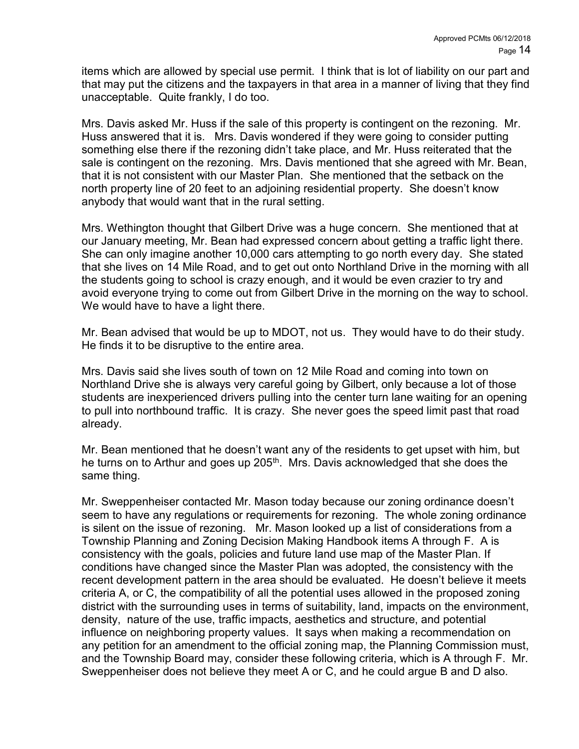items which are allowed by special use permit. I think that is lot of liability on our part and that may put the citizens and the taxpayers in that area in a manner of living that they find unacceptable. Quite frankly, I do too.

Mrs. Davis asked Mr. Huss if the sale of this property is contingent on the rezoning. Mr. Huss answered that it is. Mrs. Davis wondered if they were going to consider putting something else there if the rezoning didn't take place, and Mr. Huss reiterated that the sale is contingent on the rezoning. Mrs. Davis mentioned that she agreed with Mr. Bean, that it is not consistent with our Master Plan. She mentioned that the setback on the north property line of 20 feet to an adjoining residential property. She doesn't know anybody that would want that in the rural setting.

Mrs. Wethington thought that Gilbert Drive was a huge concern. She mentioned that at our January meeting, Mr. Bean had expressed concern about getting a traffic light there. She can only imagine another 10,000 cars attempting to go north every day. She stated that she lives on 14 Mile Road, and to get out onto Northland Drive in the morning with all the students going to school is crazy enough, and it would be even crazier to try and avoid everyone trying to come out from Gilbert Drive in the morning on the way to school. We would have to have a light there.

Mr. Bean advised that would be up to MDOT, not us. They would have to do their study. He finds it to be disruptive to the entire area.

Mrs. Davis said she lives south of town on 12 Mile Road and coming into town on Northland Drive she is always very careful going by Gilbert, only because a lot of those students are inexperienced drivers pulling into the center turn lane waiting for an opening to pull into northbound traffic. It is crazy. She never goes the speed limit past that road already.

Mr. Bean mentioned that he doesn't want any of the residents to get upset with him, but he turns on to Arthur and goes up 205<sup>th</sup>. Mrs. Davis acknowledged that she does the same thing.

Mr. Sweppenheiser contacted Mr. Mason today because our zoning ordinance doesn't seem to have any regulations or requirements for rezoning. The whole zoning ordinance is silent on the issue of rezoning. Mr. Mason looked up a list of considerations from a Township Planning and Zoning Decision Making Handbook items A through F. A is consistency with the goals, policies and future land use map of the Master Plan. If conditions have changed since the Master Plan was adopted, the consistency with the recent development pattern in the area should be evaluated. He doesn't believe it meets criteria A, or C, the compatibility of all the potential uses allowed in the proposed zoning district with the surrounding uses in terms of suitability, land, impacts on the environment, density, nature of the use, traffic impacts, aesthetics and structure, and potential influence on neighboring property values. It says when making a recommendation on any petition for an amendment to the official zoning map, the Planning Commission must, and the Township Board may, consider these following criteria, which is A through F. Mr. Sweppenheiser does not believe they meet A or C, and he could argue B and D also.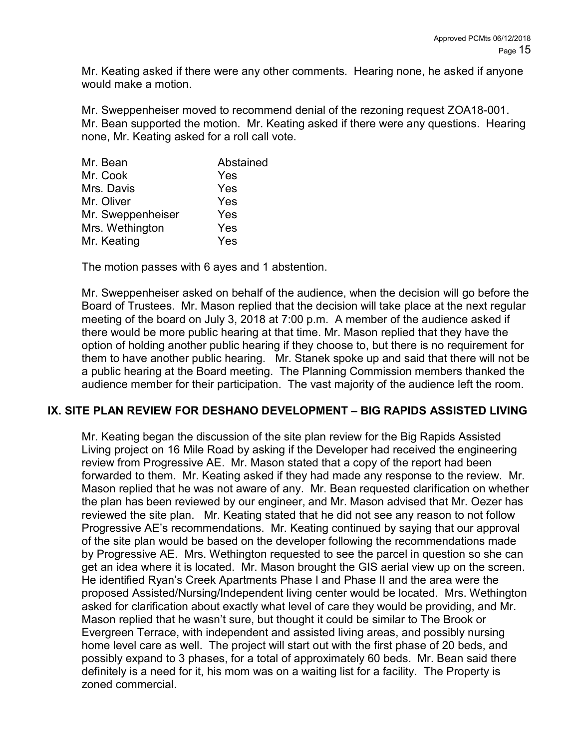Mr. Keating asked if there were any other comments. Hearing none, he asked if anyone would make a motion.

Mr. Sweppenheiser moved to recommend denial of the rezoning request ZOA18-001. Mr. Bean supported the motion. Mr. Keating asked if there were any questions. Hearing none, Mr. Keating asked for a roll call vote.

The motion passes with 6 ayes and 1 abstention.

Mr. Sweppenheiser asked on behalf of the audience, when the decision will go before the Board of Trustees. Mr. Mason replied that the decision will take place at the next regular meeting of the board on July 3, 2018 at 7:00 p.m. A member of the audience asked if there would be more public hearing at that time. Mr. Mason replied that they have the option of holding another public hearing if they choose to, but there is no requirement for them to have another public hearing. Mr. Stanek spoke up and said that there will not be a public hearing at the Board meeting. The Planning Commission members thanked the audience member for their participation. The vast majority of the audience left the room.

#### IX. SITE PLAN REVIEW FOR DESHANO DEVELOPMENT – BIG RAPIDS ASSISTED LIVING

Mr. Keating began the discussion of the site plan review for the Big Rapids Assisted Living project on 16 Mile Road by asking if the Developer had received the engineering review from Progressive AE. Mr. Mason stated that a copy of the report had been forwarded to them. Mr. Keating asked if they had made any response to the review. Mr. Mason replied that he was not aware of any. Mr. Bean requested clarification on whether the plan has been reviewed by our engineer, and Mr. Mason advised that Mr. Oezer has reviewed the site plan. Mr. Keating stated that he did not see any reason to not follow Progressive AE's recommendations. Mr. Keating continued by saying that our approval of the site plan would be based on the developer following the recommendations made by Progressive AE. Mrs. Wethington requested to see the parcel in question so she can get an idea where it is located. Mr. Mason brought the GIS aerial view up on the screen. He identified Ryan's Creek Apartments Phase I and Phase II and the area were the proposed Assisted/Nursing/Independent living center would be located. Mrs. Wethington asked for clarification about exactly what level of care they would be providing, and Mr. Mason replied that he wasn't sure, but thought it could be similar to The Brook or Evergreen Terrace, with independent and assisted living areas, and possibly nursing home level care as well. The project will start out with the first phase of 20 beds, and possibly expand to 3 phases, for a total of approximately 60 beds. Mr. Bean said there definitely is a need for it, his mom was on a waiting list for a facility. The Property is zoned commercial.